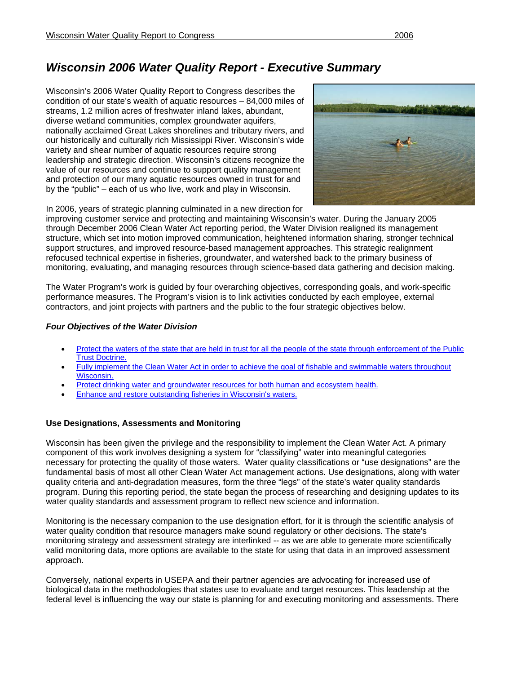# *Wisconsin 2006 Water Quality Report - Executive Summary*

Wisconsin's 2006 Water Quality Report to Congress describes the condition of our state's wealth of aquatic resources – 84,000 miles of streams, 1.2 million acres of freshwater inland lakes, abundant, diverse wetland communities, complex groundwater aquifers, nationally acclaimed Great Lakes shorelines and tributary rivers, and our historically and culturally rich Mississippi River. Wisconsin's wide variety and shear number of aquatic resources require strong leadership and strategic direction. Wisconsin's citizens recognize the value of our resources and continue to support quality management and protection of our many aquatic resources owned in trust for and by the "public" – each of us who live, work and play in Wisconsin.



In 2006, years of strategic planning culminated in a new direction for

improving customer service and protecting and maintaining Wisconsin's water. During the January 2005 through December 2006 Clean Water Act reporting period, the Water Division realigned its management structure, which set into motion improved communication, heightened information sharing, stronger technical support structures, and improved resource-based management approaches. This strategic realignment refocused technical expertise in fisheries, groundwater, and watershed back to the primary business of monitoring, evaluating, and managing resources through science-based data gathering and decision making.

The Water Program's work is guided by four overarching objectives, corresponding goals, and work-specific performance measures. The Program's vision is to link activities conducted by each employee, external contractors, and joint projects with partners and the public to the four strategic objectives below.

#### *Four Objectives of the Water Division*

- Protect the waters of the state that are held in trust for all the people of the state through enforcement of the Public Trust Doctrine.
- Fully implement the Clean Water Act in order to achieve the goal of fishable and swimmable waters throughout Wisconsin.
- Protect drinking water and groundwater resources for both human and ecosystem health.
- Enhance and restore outstanding fisheries in Wisconsin's waters.

### **Use Designations, Assessments and Monitoring**

Wisconsin has been given the privilege and the responsibility to implement the Clean Water Act. A primary component of this work involves designing a system for "classifying" water into meaningful categories necessary for protecting the quality of those waters. Water quality classifications or "use designations" are the fundamental basis of most all other Clean Water Act management actions. Use designations, along with water quality criteria and anti-degradation measures, form the three "legs" of the state's water quality standards program. During this reporting period, the state began the process of researching and designing updates to its water quality standards and assessment program to reflect new science and information.

Monitoring is the necessary companion to the use designation effort, for it is through the scientific analysis of water quality condition that resource managers make sound regulatory or other decisions. The state's monitoring strategy and assessment strategy are interlinked -- as we are able to generate more scientifically valid monitoring data, more options are available to the state for using that data in an improved assessment approach.

Conversely, national experts in USEPA and their partner agencies are advocating for increased use of biological data in the methodologies that states use to evaluate and target resources. This leadership at the federal level is influencing the way our state is planning for and executing monitoring and assessments. There